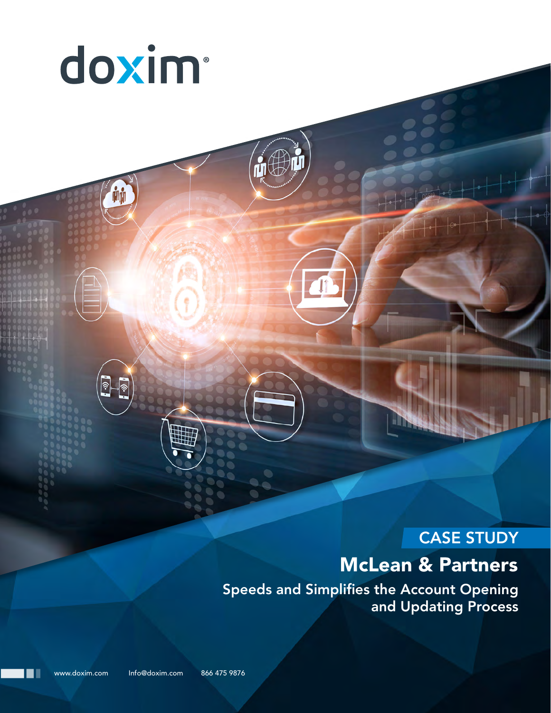

# CASE STUDY

# McLean & Partners

Speeds and Simplifies the Account Opening and Updating Process

www.doxim.com Info@doxim.com 866 475 9876

n۱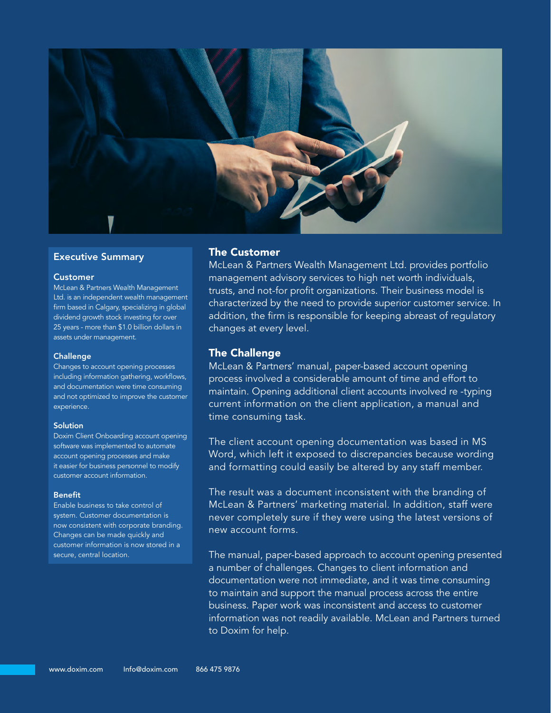

#### Executive Summary

#### Customer

McLean & Partners Wealth Management Ltd. is an independent wealth management firm based in Calgary, specializing in global dividend growth stock investing for over 25 years - more than \$1.0 billion dollars in assets under management.

#### **Challenge**

Changes to account opening processes including information gathering, workflows, and documentation were time consuming and not optimized to improve the customer experience.

#### **Solution**

Doxim Client Onboarding account opening software was implemented to automate account opening processes and make it easier for business personnel to modify customer account information.

#### Benefit

Enable business to take control of system. Customer documentation is now consistent with corporate branding. Changes can be made quickly and customer information is now stored in a secure, central location.

### The Customer

McLean & Partners Wealth Management Ltd. provides portfolio management advisory services to high net worth individuals, trusts, and not-for profit organizations. Their business model is characterized by the need to provide superior customer service. In addition, the firm is responsible for keeping abreast of regulatory changes at every level.

### The Challenge

McLean & Partners' manual, paper-based account opening process involved a considerable amount of time and effort to maintain. Opening additional client accounts involved re -typing current information on the client application, a manual and time consuming task.

The client account opening documentation was based in MS Word, which left it exposed to discrepancies because wording and formatting could easily be altered by any staff member.

The result was a document inconsistent with the branding of McLean & Partners' marketing material. In addition, staff were never completely sure if they were using the latest versions of new account forms.

The manual, paper-based approach to account opening presented a number of challenges. Changes to client information and documentation were not immediate, and it was time consuming to maintain and support the manual process across the entire business. Paper work was inconsistent and access to customer information was not readily available. McLean and Partners turned to Doxim for help.